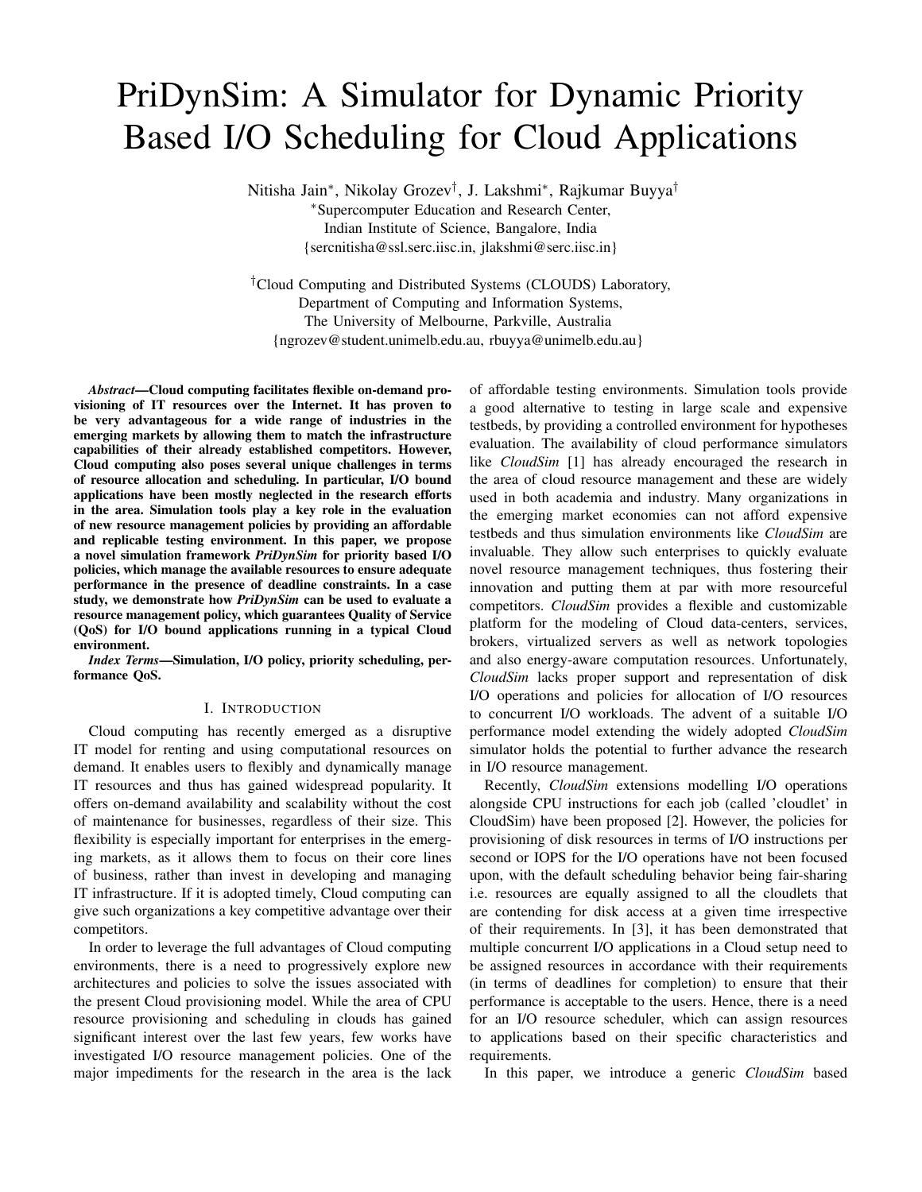# PriDynSim: A Simulator for Dynamic Priority Based I/O Scheduling for Cloud Applications

Nitisha Jain<sup>∗</sup> , Nikolay Grozev† , J. Lakshmi<sup>∗</sup> , Rajkumar Buyya†

<sup>∗</sup>Supercomputer Education and Research Center, Indian Institute of Science, Bangalore, India {sercnitisha@ssl.serc.iisc.in, jlakshmi@serc.iisc.in}

†Cloud Computing and Distributed Systems (CLOUDS) Laboratory, Department of Computing and Information Systems, The University of Melbourne, Parkville, Australia {ngrozev@student.unimelb.edu.au, rbuyya@unimelb.edu.au}

*Abstract*—Cloud computing facilitates flexible on-demand provisioning of IT resources over the Internet. It has proven to be very advantageous for a wide range of industries in the emerging markets by allowing them to match the infrastructure capabilities of their already established competitors. However, Cloud computing also poses several unique challenges in terms of resource allocation and scheduling. In particular, I/O bound applications have been mostly neglected in the research efforts in the area. Simulation tools play a key role in the evaluation of new resource management policies by providing an affordable and replicable testing environment. In this paper, we propose a novel simulation framework *PriDynSim* for priority based I/O policies, which manage the available resources to ensure adequate performance in the presence of deadline constraints. In a case study, we demonstrate how *PriDynSim* can be used to evaluate a resource management policy, which guarantees Quality of Service (QoS) for I/O bound applications running in a typical Cloud environment.

*Index Terms*—Simulation, I/O policy, priority scheduling, performance QoS.

#### I. INTRODUCTION

Cloud computing has recently emerged as a disruptive IT model for renting and using computational resources on demand. It enables users to flexibly and dynamically manage IT resources and thus has gained widespread popularity. It offers on-demand availability and scalability without the cost of maintenance for businesses, regardless of their size. This flexibility is especially important for enterprises in the emerging markets, as it allows them to focus on their core lines of business, rather than invest in developing and managing IT infrastructure. If it is adopted timely, Cloud computing can give such organizations a key competitive advantage over their competitors.

In order to leverage the full advantages of Cloud computing environments, there is a need to progressively explore new architectures and policies to solve the issues associated with the present Cloud provisioning model. While the area of CPU resource provisioning and scheduling in clouds has gained significant interest over the last few years, few works have investigated I/O resource management policies. One of the major impediments for the research in the area is the lack

of affordable testing environments. Simulation tools provide a good alternative to testing in large scale and expensive testbeds, by providing a controlled environment for hypotheses evaluation. The availability of cloud performance simulators like *CloudSim* [1] has already encouraged the research in the area of cloud resource management and these are widely used in both academia and industry. Many organizations in the emerging market economies can not afford expensive testbeds and thus simulation environments like *CloudSim* are invaluable. They allow such enterprises to quickly evaluate novel resource management techniques, thus fostering their innovation and putting them at par with more resourceful competitors. *CloudSim* provides a flexible and customizable platform for the modeling of Cloud data-centers, services, brokers, virtualized servers as well as network topologies and also energy-aware computation resources. Unfortunately, *CloudSim* lacks proper support and representation of disk I/O operations and policies for allocation of I/O resources to concurrent I/O workloads. The advent of a suitable I/O performance model extending the widely adopted *CloudSim* simulator holds the potential to further advance the research in I/O resource management.

Recently, *CloudSim* extensions modelling I/O operations alongside CPU instructions for each job (called 'cloudlet' in CloudSim) have been proposed [2]. However, the policies for provisioning of disk resources in terms of I/O instructions per second or IOPS for the I/O operations have not been focused upon, with the default scheduling behavior being fair-sharing i.e. resources are equally assigned to all the cloudlets that are contending for disk access at a given time irrespective of their requirements. In [3], it has been demonstrated that multiple concurrent I/O applications in a Cloud setup need to be assigned resources in accordance with their requirements (in terms of deadlines for completion) to ensure that their performance is acceptable to the users. Hence, there is a need for an I/O resource scheduler, which can assign resources to applications based on their specific characteristics and requirements.

In this paper, we introduce a generic *CloudSim* based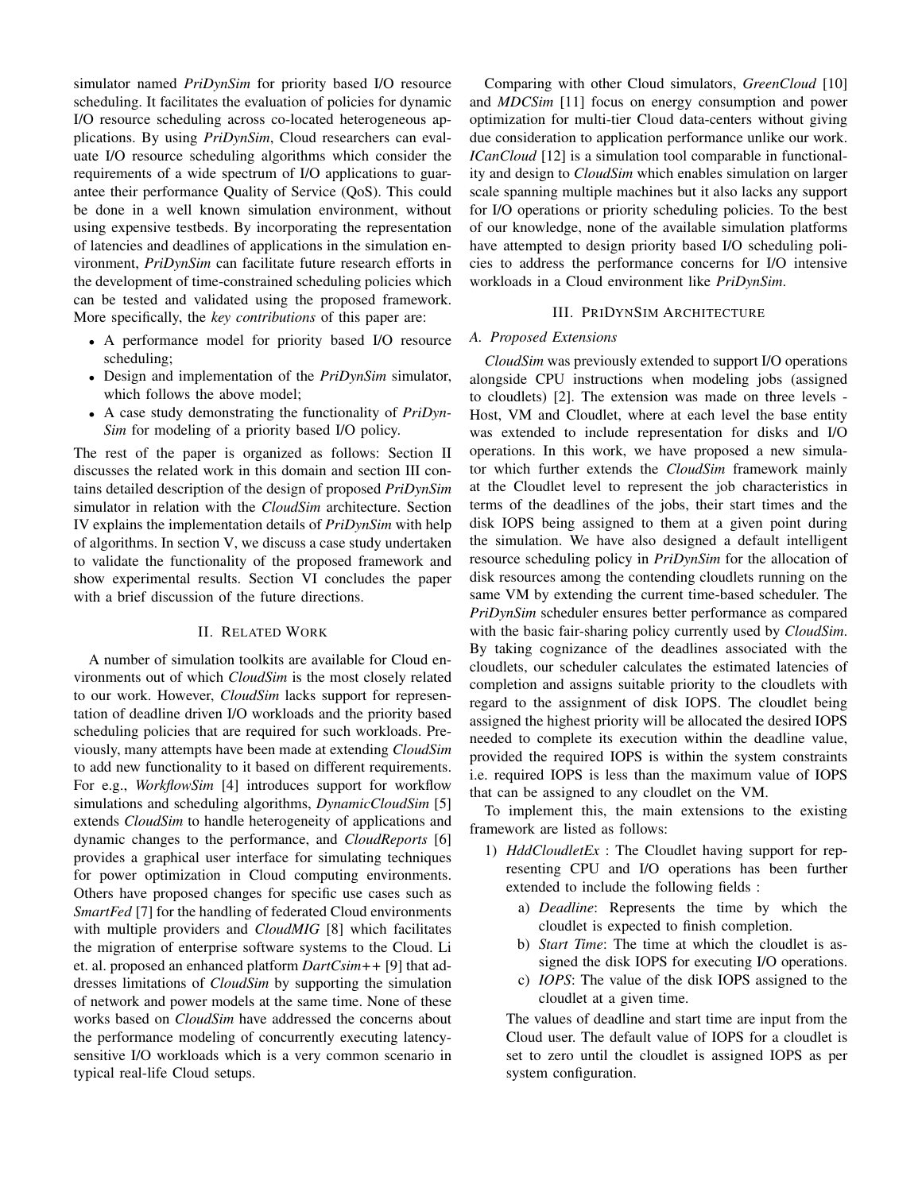simulator named *PriDynSim* for priority based I/O resource scheduling. It facilitates the evaluation of policies for dynamic I/O resource scheduling across co-located heterogeneous applications. By using *PriDynSim*, Cloud researchers can evaluate I/O resource scheduling algorithms which consider the requirements of a wide spectrum of I/O applications to guarantee their performance Quality of Service (QoS). This could be done in a well known simulation environment, without using expensive testbeds. By incorporating the representation of latencies and deadlines of applications in the simulation environment, *PriDynSim* can facilitate future research efforts in the development of time-constrained scheduling policies which can be tested and validated using the proposed framework. More specifically, the *key contributions* of this paper are:

- A performance model for priority based I/O resource scheduling;
- Design and implementation of the *PriDynSim* simulator, which follows the above model;
- A case study demonstrating the functionality of *PriDyn-Sim* for modeling of a priority based I/O policy.

The rest of the paper is organized as follows: Section II discusses the related work in this domain and section III contains detailed description of the design of proposed *PriDynSim* simulator in relation with the *CloudSim* architecture. Section IV explains the implementation details of *PriDynSim* with help of algorithms. In section V, we discuss a case study undertaken to validate the functionality of the proposed framework and show experimental results. Section VI concludes the paper with a brief discussion of the future directions.

#### II. RELATED WORK

A number of simulation toolkits are available for Cloud environments out of which *CloudSim* is the most closely related to our work. However, *CloudSim* lacks support for representation of deadline driven I/O workloads and the priority based scheduling policies that are required for such workloads. Previously, many attempts have been made at extending *CloudSim* to add new functionality to it based on different requirements. For e.g., *WorkflowSim* [4] introduces support for workflow simulations and scheduling algorithms, *DynamicCloudSim* [5] extends *CloudSim* to handle heterogeneity of applications and dynamic changes to the performance, and *CloudReports* [6] provides a graphical user interface for simulating techniques for power optimization in Cloud computing environments. Others have proposed changes for specific use cases such as *SmartFed* [7] for the handling of federated Cloud environments with multiple providers and *CloudMIG* [8] which facilitates the migration of enterprise software systems to the Cloud. Li et. al. proposed an enhanced platform *DartCsim++* [9] that addresses limitations of *CloudSim* by supporting the simulation of network and power models at the same time. None of these works based on *CloudSim* have addressed the concerns about the performance modeling of concurrently executing latencysensitive I/O workloads which is a very common scenario in typical real-life Cloud setups.

Comparing with other Cloud simulators, *GreenCloud* [10] and *MDCSim* [11] focus on energy consumption and power optimization for multi-tier Cloud data-centers without giving due consideration to application performance unlike our work. *ICanCloud* [12] is a simulation tool comparable in functionality and design to *CloudSim* which enables simulation on larger scale spanning multiple machines but it also lacks any support for I/O operations or priority scheduling policies. To the best of our knowledge, none of the available simulation platforms have attempted to design priority based I/O scheduling policies to address the performance concerns for I/O intensive workloads in a Cloud environment like *PriDynSim*.

#### III. PRIDYNSIM ARCHITECTURE

# *A. Proposed Extensions*

*CloudSim* was previously extended to support I/O operations alongside CPU instructions when modeling jobs (assigned to cloudlets) [2]. The extension was made on three levels - Host, VM and Cloudlet, where at each level the base entity was extended to include representation for disks and I/O operations. In this work, we have proposed a new simulator which further extends the *CloudSim* framework mainly at the Cloudlet level to represent the job characteristics in terms of the deadlines of the jobs, their start times and the disk IOPS being assigned to them at a given point during the simulation. We have also designed a default intelligent resource scheduling policy in *PriDynSim* for the allocation of disk resources among the contending cloudlets running on the same VM by extending the current time-based scheduler. The *PriDynSim* scheduler ensures better performance as compared with the basic fair-sharing policy currently used by *CloudSim*. By taking cognizance of the deadlines associated with the cloudlets, our scheduler calculates the estimated latencies of completion and assigns suitable priority to the cloudlets with regard to the assignment of disk IOPS. The cloudlet being assigned the highest priority will be allocated the desired IOPS needed to complete its execution within the deadline value, provided the required IOPS is within the system constraints i.e. required IOPS is less than the maximum value of IOPS that can be assigned to any cloudlet on the VM.

To implement this, the main extensions to the existing framework are listed as follows:

- 1) *HddCloudletEx* : The Cloudlet having support for representing CPU and I/O operations has been further extended to include the following fields :
	- a) *Deadline*: Represents the time by which the cloudlet is expected to finish completion.
	- b) *Start Time*: The time at which the cloudlet is assigned the disk IOPS for executing I/O operations.
	- c) *IOPS*: The value of the disk IOPS assigned to the cloudlet at a given time.

The values of deadline and start time are input from the Cloud user. The default value of IOPS for a cloudlet is set to zero until the cloudlet is assigned IOPS as per system configuration.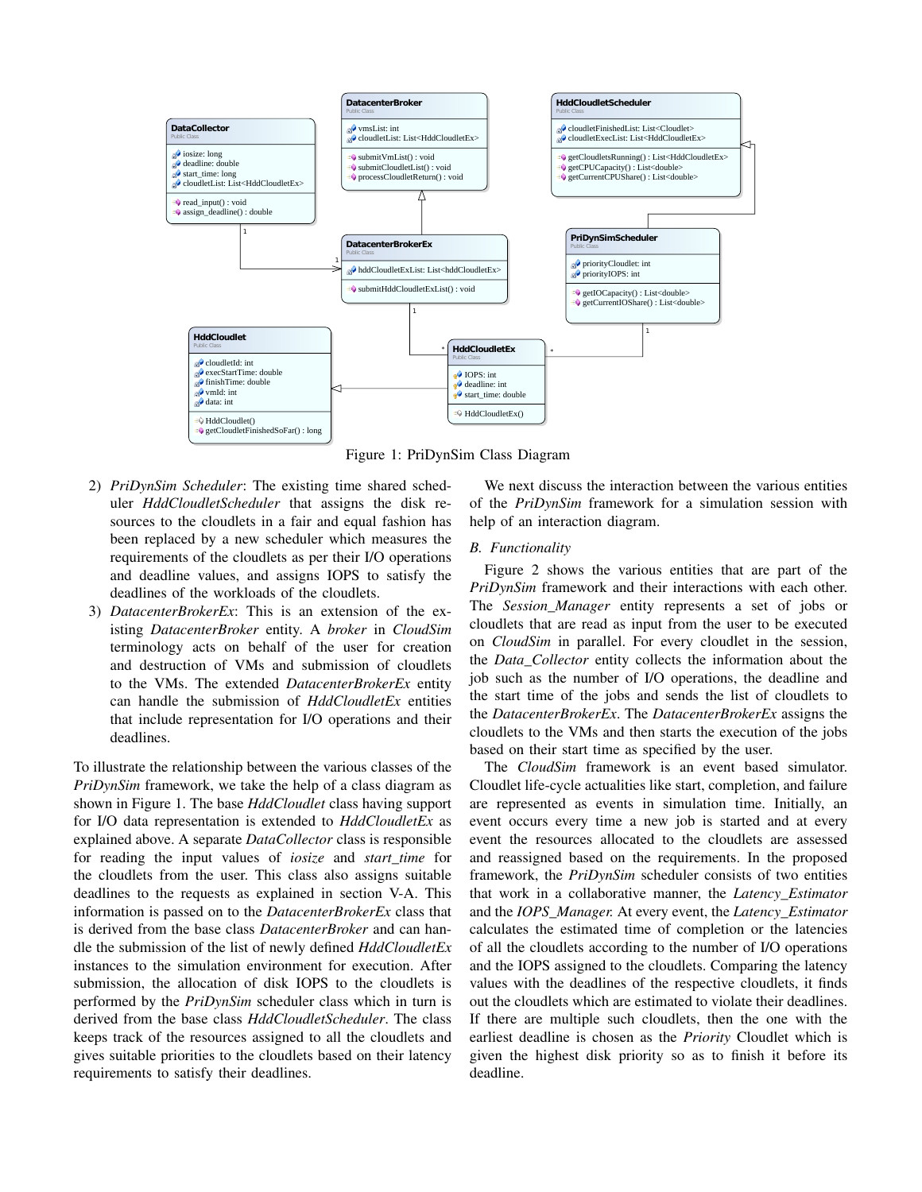

Figure 1: PriDynSim Class Diagram

- 2) *PriDynSim Scheduler*: The existing time shared scheduler *HddCloudletScheduler* that assigns the disk resources to the cloudlets in a fair and equal fashion has been replaced by a new scheduler which measures the requirements of the cloudlets as per their I/O operations and deadline values, and assigns IOPS to satisfy the deadlines of the workloads of the cloudlets.
- 3) *DatacenterBrokerEx*: This is an extension of the existing *DatacenterBroker* entity. A *broker* in *CloudSim* terminology acts on behalf of the user for creation and destruction of VMs and submission of cloudlets to the VMs. The extended *DatacenterBrokerEx* entity can handle the submission of *HddCloudletEx* entities that include representation for I/O operations and their deadlines.

To illustrate the relationship between the various classes of the *PriDynSim* framework, we take the help of a class diagram as shown in Figure 1. The base *HddCloudlet* class having support for I/O data representation is extended to *HddCloudletEx* as explained above. A separate *DataCollector* class is responsible for reading the input values of *iosize* and *start\_time* for the cloudlets from the user. This class also assigns suitable deadlines to the requests as explained in section V-A. This information is passed on to the *DatacenterBrokerEx* class that is derived from the base class *DatacenterBroker* and can handle the submission of the list of newly defined *HddCloudletEx* instances to the simulation environment for execution. After submission, the allocation of disk IOPS to the cloudlets is performed by the *PriDynSim* scheduler class which in turn is derived from the base class *HddCloudletScheduler*. The class keeps track of the resources assigned to all the cloudlets and gives suitable priorities to the cloudlets based on their latency requirements to satisfy their deadlines.

We next discuss the interaction between the various entities of the *PriDynSim* framework for a simulation session with help of an interaction diagram.

# *B. Functionality*

Figure 2 shows the various entities that are part of the *PriDynSim* framework and their interactions with each other. The *Session*\_*Manager* entity represents a set of jobs or cloudlets that are read as input from the user to be executed on *CloudSim* in parallel. For every cloudlet in the session, the *Data\_Collector* entity collects the information about the job such as the number of I/O operations, the deadline and the start time of the jobs and sends the list of cloudlets to the *DatacenterBrokerEx*. The *DatacenterBrokerEx* assigns the cloudlets to the VMs and then starts the execution of the jobs based on their start time as specified by the user.

The *CloudSim* framework is an event based simulator. Cloudlet life-cycle actualities like start, completion, and failure are represented as events in simulation time. Initially, an event occurs every time a new job is started and at every event the resources allocated to the cloudlets are assessed and reassigned based on the requirements. In the proposed framework, the *PriDynSim* scheduler consists of two entities that work in a collaborative manner, the *Latency*\_*Estimator* and the *IOPS\_Manager.* At every event, the *Latency\_Estimator* calculates the estimated time of completion or the latencies of all the cloudlets according to the number of I/O operations and the IOPS assigned to the cloudlets. Comparing the latency values with the deadlines of the respective cloudlets, it finds out the cloudlets which are estimated to violate their deadlines. If there are multiple such cloudlets, then the one with the earliest deadline is chosen as the *Priority* Cloudlet which is given the highest disk priority so as to finish it before its deadline.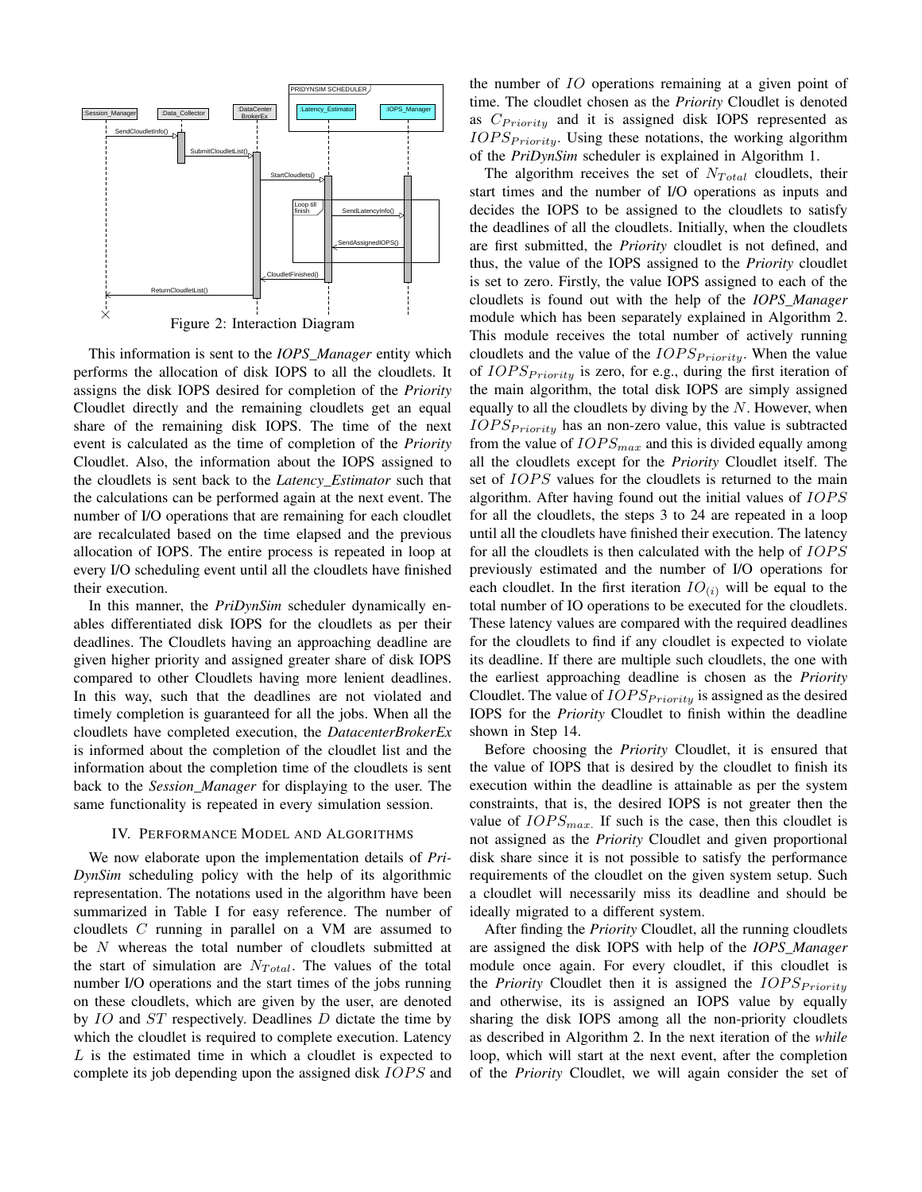

This information is sent to the *IOPS*\_*Manager* entity which performs the allocation of disk IOPS to all the cloudlets. It assigns the disk IOPS desired for completion of the *Priority* Cloudlet directly and the remaining cloudlets get an equal share of the remaining disk IOPS. The time of the next event is calculated as the time of completion of the *Priority* Cloudlet. Also, the information about the IOPS assigned to the cloudlets is sent back to the *Latency\_Estimator* such that the calculations can be performed again at the next event. The number of I/O operations that are remaining for each cloudlet are recalculated based on the time elapsed and the previous allocation of IOPS. The entire process is repeated in loop at every I/O scheduling event until all the cloudlets have finished their execution.

In this manner, the *PriDynSim* scheduler dynamically enables differentiated disk IOPS for the cloudlets as per their deadlines. The Cloudlets having an approaching deadline are given higher priority and assigned greater share of disk IOPS compared to other Cloudlets having more lenient deadlines. In this way, such that the deadlines are not violated and timely completion is guaranteed for all the jobs. When all the cloudlets have completed execution, the *DatacenterBrokerEx* is informed about the completion of the cloudlet list and the information about the completion time of the cloudlets is sent back to the *Session\_Manager* for displaying to the user. The same functionality is repeated in every simulation session.

### IV. PERFORMANCE MODEL AND ALGORITHMS

We now elaborate upon the implementation details of *Pri-DynSim* scheduling policy with the help of its algorithmic representation. The notations used in the algorithm have been summarized in Table I for easy reference. The number of cloudlets C running in parallel on a VM are assumed to be N whereas the total number of cloudlets submitted at the start of simulation are  $N_{Total}$ . The values of the total number I/O operations and the start times of the jobs running on these cloudlets, which are given by the user, are denoted by IO and ST respectively. Deadlines D dictate the time by which the cloudlet is required to complete execution. Latency L is the estimated time in which a cloudlet is expected to complete its job depending upon the assigned disk  $IOPS$  and the number of IO operations remaining at a given point of time. The cloudlet chosen as the *Priority* Cloudlet is denoted as  $C_{Priority}$  and it is assigned disk IOPS represented as  $IOPS_{Priority}$ . Using these notations, the working algorithm of the *PriDynSim* scheduler is explained in Algorithm 1.

The algorithm receives the set of  $N_{Total}$  cloudlets, their start times and the number of I/O operations as inputs and decides the IOPS to be assigned to the cloudlets to satisfy the deadlines of all the cloudlets. Initially, when the cloudlets are first submitted, the *Priority* cloudlet is not defined, and thus, the value of the IOPS assigned to the *Priority* cloudlet is set to zero. Firstly, the value IOPS assigned to each of the cloudlets is found out with the help of the *IOPS\_Manager* module which has been separately explained in Algorithm 2. This module receives the total number of actively running cloudlets and the value of the  $IOPS_{Priority}$ . When the value of  $IOPS_{Priority}$  is zero, for e.g., during the first iteration of the main algorithm, the total disk IOPS are simply assigned equally to all the cloudlets by diving by the  $N$ . However, when  $IOPS_{Priority}$  has an non-zero value, this value is subtracted from the value of  $IOPS_{max}$  and this is divided equally among all the cloudlets except for the *Priority* Cloudlet itself. The set of *IOPS* values for the cloudlets is returned to the main algorithm. After having found out the initial values of IOPS for all the cloudlets, the steps 3 to 24 are repeated in a loop until all the cloudlets have finished their execution. The latency for all the cloudlets is then calculated with the help of *IOPS* previously estimated and the number of I/O operations for each cloudlet. In the first iteration  $IO_{(i)}$  will be equal to the total number of IO operations to be executed for the cloudlets. These latency values are compared with the required deadlines for the cloudlets to find if any cloudlet is expected to violate its deadline. If there are multiple such cloudlets, the one with the earliest approaching deadline is chosen as the *Priority* Cloudlet. The value of  $IOPS_{Priority}$  is assigned as the desired IOPS for the *Priority* Cloudlet to finish within the deadline shown in Step 14.

Before choosing the *Priority* Cloudlet, it is ensured that the value of IOPS that is desired by the cloudlet to finish its execution within the deadline is attainable as per the system constraints, that is, the desired IOPS is not greater then the value of  $IOPS_{max}$ . If such is the case, then this cloudlet is not assigned as the *Priority* Cloudlet and given proportional disk share since it is not possible to satisfy the performance requirements of the cloudlet on the given system setup. Such a cloudlet will necessarily miss its deadline and should be ideally migrated to a different system.

After finding the *Priority* Cloudlet, all the running cloudlets are assigned the disk IOPS with help of the *IOPS\_Manager* module once again. For every cloudlet, if this cloudlet is the *Priority* Cloudlet then it is assigned the  $IOPS_{Priority}$ and otherwise, its is assigned an IOPS value by equally sharing the disk IOPS among all the non-priority cloudlets as described in Algorithm 2. In the next iteration of the *while* loop, which will start at the next event, after the completion of the *Priority* Cloudlet, we will again consider the set of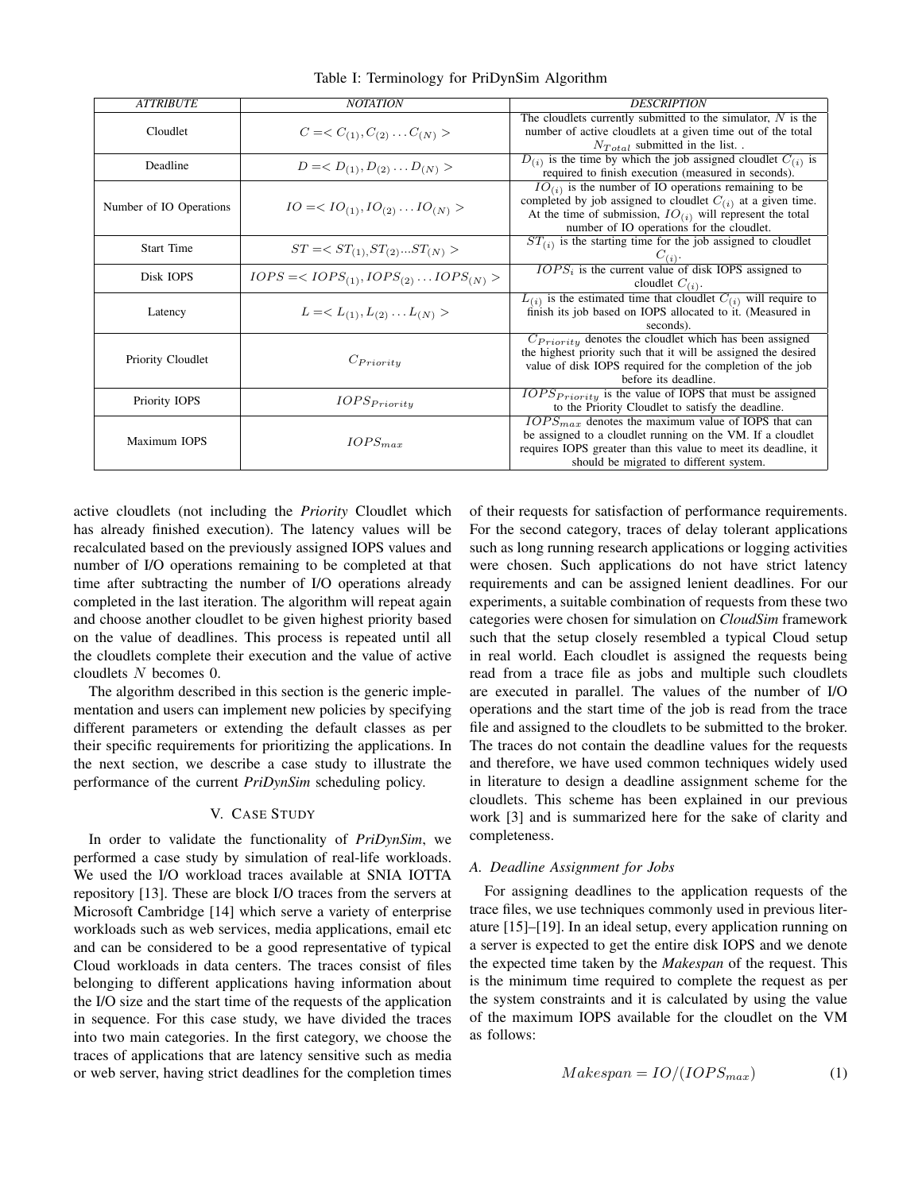| <b>ATTRIBUTE</b>        | <b>NOTATION</b>                                      | <b>DESCRIPTION</b>                                                                                                                                                                                                                           |
|-------------------------|------------------------------------------------------|----------------------------------------------------------------------------------------------------------------------------------------------------------------------------------------------------------------------------------------------|
| Cloudlet                | $C = $                                               | The cloudlets currently submitted to the simulator, $N$ is the<br>number of active cloudlets at a given time out of the total<br>$N_{Total}$ submitted in the list                                                                           |
| Deadline                | $D = $                                               | $D_{(i)}$ is the time by which the job assigned cloudlet $C_{(i)}$ is<br>required to finish execution (measured in seconds).                                                                                                                 |
| Number of IO Operations | $IO = < IO_{(1)}, IO_{(2)} \dots IO_{(N)}$           | $IO_{(i)}$ is the number of IO operations remaining to be<br>completed by job assigned to cloudlet $C_{(i)}$ at a given time.<br>At the time of submission, $IO_{(i)}$ will represent the total<br>number of IO operations for the cloudlet. |
| <b>Start Time</b>       | $ST = $                                              | $ST_{(i)}$ is the starting time for the job assigned to cloudlet<br>$C_{(i)}$ .                                                                                                                                                              |
| Disk IOPS               | $IOPS = < IOPS_{(1)}, IOPS_{(2)} \dots IOPS_{(N)} >$ | $IOPSi$ is the current value of disk IOPS assigned to<br>cloudlet $C_{(i)}$ .                                                                                                                                                                |
| Latency                 | $L = $                                               | $L_{(i)}$ is the estimated time that cloudlet $C_{(i)}$ will require to<br>finish its job based on IOPS allocated to it. (Measured in<br>seconds).                                                                                           |
| Priority Cloudlet       | $C_{Priority}$                                       | $C_{Priority}$ denotes the cloudlet which has been assigned<br>the highest priority such that it will be assigned the desired<br>value of disk IOPS required for the completion of the job<br>before its deadline.                           |
| Priority IOPS           | $IOPS_{Priority}$                                    | $IOPS_{Priority}$ is the value of IOPS that must be assigned<br>to the Priority Cloudlet to satisfy the deadline.                                                                                                                            |
| Maximum IOPS            | $IOPS_{max}$                                         | $IOPS_{max}$ denotes the maximum value of IOPS that can<br>be assigned to a cloudlet running on the VM. If a cloudlet<br>requires IOPS greater than this value to meet its deadline, it<br>should be migrated to different system.           |

Table I: Terminology for PriDynSim Algorithm

active cloudlets (not including the *Priority* Cloudlet which has already finished execution). The latency values will be recalculated based on the previously assigned IOPS values and number of I/O operations remaining to be completed at that time after subtracting the number of I/O operations already completed in the last iteration. The algorithm will repeat again and choose another cloudlet to be given highest priority based on the value of deadlines. This process is repeated until all the cloudlets complete their execution and the value of active cloudlets N becomes 0.

The algorithm described in this section is the generic implementation and users can implement new policies by specifying different parameters or extending the default classes as per their specific requirements for prioritizing the applications. In the next section, we describe a case study to illustrate the performance of the current *PriDynSim* scheduling policy.

### V. CASE STUDY

In order to validate the functionality of *PriDynSim*, we performed a case study by simulation of real-life workloads. We used the I/O workload traces available at SNIA IOTTA repository [13]. These are block I/O traces from the servers at Microsoft Cambridge [14] which serve a variety of enterprise workloads such as web services, media applications, email etc and can be considered to be a good representative of typical Cloud workloads in data centers. The traces consist of files belonging to different applications having information about the I/O size and the start time of the requests of the application in sequence. For this case study, we have divided the traces into two main categories. In the first category, we choose the traces of applications that are latency sensitive such as media or web server, having strict deadlines for the completion times

of their requests for satisfaction of performance requirements. For the second category, traces of delay tolerant applications such as long running research applications or logging activities were chosen. Such applications do not have strict latency requirements and can be assigned lenient deadlines. For our experiments, a suitable combination of requests from these two categories were chosen for simulation on *CloudSim* framework such that the setup closely resembled a typical Cloud setup in real world. Each cloudlet is assigned the requests being read from a trace file as jobs and multiple such cloudlets are executed in parallel. The values of the number of I/O operations and the start time of the job is read from the trace file and assigned to the cloudlets to be submitted to the broker. The traces do not contain the deadline values for the requests and therefore, we have used common techniques widely used in literature to design a deadline assignment scheme for the cloudlets. This scheme has been explained in our previous work [3] and is summarized here for the sake of clarity and completeness.

### *A. Deadline Assignment for Jobs*

For assigning deadlines to the application requests of the trace files, we use techniques commonly used in previous literature [15]–[19]. In an ideal setup, every application running on a server is expected to get the entire disk IOPS and we denote the expected time taken by the *Makespan* of the request. This is the minimum time required to complete the request as per the system constraints and it is calculated by using the value of the maximum IOPS available for the cloudlet on the VM as follows:

$$
Makespan = IO/(IOPS_{max})
$$
 (1)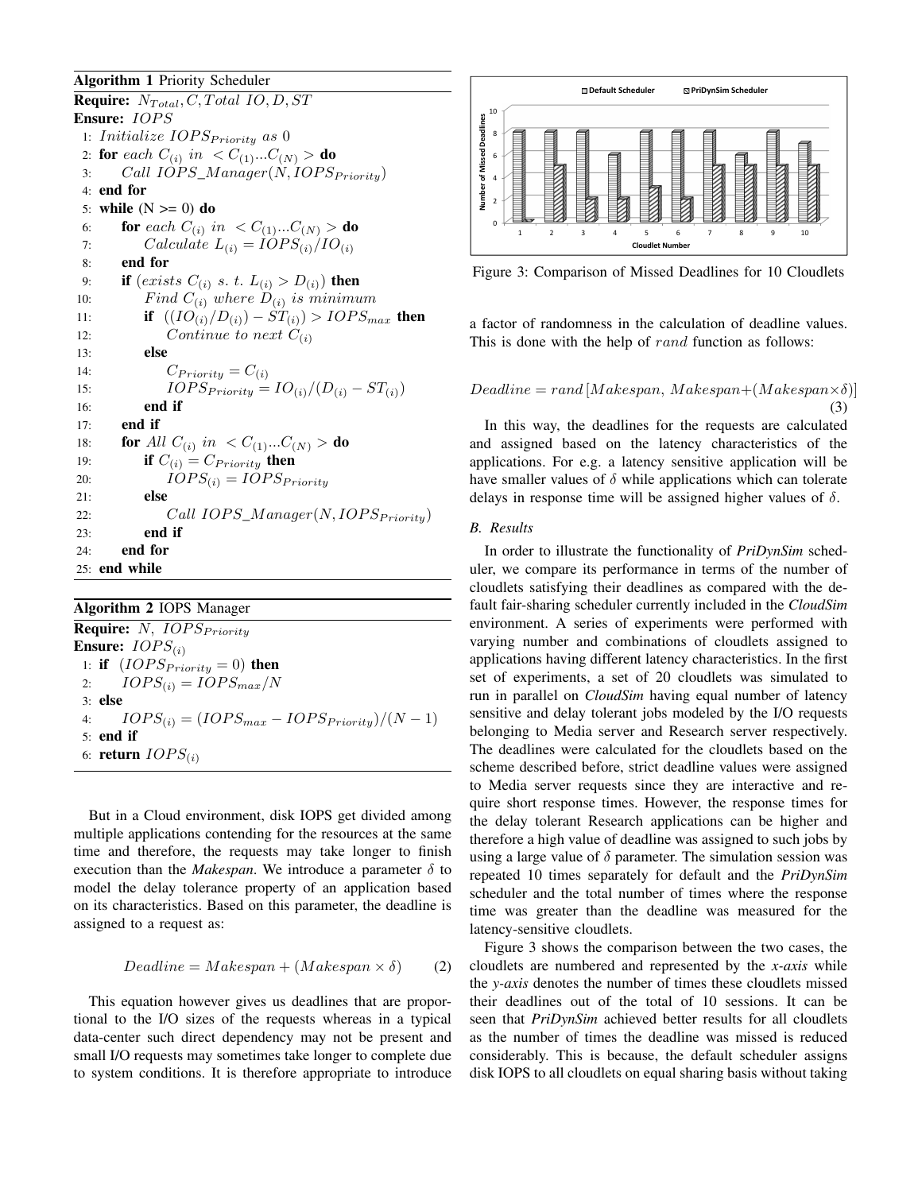# Algorithm 1 Priority Scheduler

**Require:**  $N_{Total}$ , C, Total 10, D, ST Ensure: IOPS 1: Initialize  $IOPS_{Priority}$  as 0 2: for each  $C_{(i)}$  in  $\langle C_{(1)}...C_{(N)} \rangle$  do 3: Call  $IOPS\_Manager(N, IOPS_{Priority})$ 4: end for 5: while  $(N \geq 0)$  do 6: **for** each  $C_{(i)}$  in  $\lt C_{(1)}...C_{(N)} >$  **do** 7: Calculate  $L_{(i)} = IOPS_{(i)}/IO_{(i)}$ 8: end for 9: **if** (exists  $C_{(i)}$  s. t.  $L_{(i)} > D_{(i)}$ ) then 10: Find  $C_{(i)}$  where  $D_{(i)}$  is minimum 11: **if**  $((IO_{(i)}/D_{(i)}) - ST_{(i)}) > IOPS_{max}$  then 12: Continue to next  $C_{(i)}$ 13: else 14:  $C_{Priority} = C_{(i)}$ 15:  $IOPS_{Priority} = IO_{(i)}/(D_{(i)} - ST_{(i)})$ 16: end if 17: end if 18: **for** All  $C_{(i)}$  in  $\lt C_{(1)}...C_{(N)} >$  **do** 19: **if**  $C_{(i)} = C_{Priority}$  then 20:  $IOPS_{(i)} = IOPS_{Priority}$ 21: else 22:  $Call IOPS\_Manager(N, IOPS_{Priority})$ 23: end if 24: end for 25: end while

Algorithm 2 IOPS Manager **Require:**  $N$ ,  $IOPS_{Priority}$ **Ensure:**  $IOPS_{(i)}$ 1: if  $(IOPS<sub>Priority</sub> = 0)$  then 2:  $IOPS_{(i)} = IOPS_{max}/N$ 3: else 4:  $IOPS_{(i)} = (IOPS_{max} - IOPS_{Priority})/(N-1)$ 5: end if 6: return  $IOPS_{(i)}$ 

But in a Cloud environment, disk IOPS get divided among multiple applications contending for the resources at the same time and therefore, the requests may take longer to finish execution than the *Makespan*. We introduce a parameter  $\delta$  to model the delay tolerance property of an application based on its characteristics. Based on this parameter, the deadline is assigned to a request as:

$$
Deadline = Makespan + (Makespan \times \delta) \tag{2}
$$

This equation however gives us deadlines that are proportional to the I/O sizes of the requests whereas in a typical data-center such direct dependency may not be present and small I/O requests may sometimes take longer to complete due to system conditions. It is therefore appropriate to introduce



Figure 3: Comparison of Missed Deadlines for 10 Cloudlets

a factor of randomness in the calculation of deadline values. This is done with the help of rand function as follows:

$$
Deadline = rand[Makespan, Makespan + (Makespan \times \delta)]
$$
  
(3)

In this way, the deadlines for the requests are calculated and assigned based on the latency characteristics of the applications. For e.g. a latency sensitive application will be have smaller values of  $\delta$  while applications which can tolerate delays in response time will be assigned higher values of  $\delta$ .

# *B. Results*

In order to illustrate the functionality of *PriDynSim* scheduler, we compare its performance in terms of the number of cloudlets satisfying their deadlines as compared with the default fair-sharing scheduler currently included in the *CloudSim* environment. A series of experiments were performed with varying number and combinations of cloudlets assigned to applications having different latency characteristics. In the first set of experiments, a set of 20 cloudlets was simulated to run in parallel on *CloudSim* having equal number of latency sensitive and delay tolerant jobs modeled by the I/O requests belonging to Media server and Research server respectively. The deadlines were calculated for the cloudlets based on the scheme described before, strict deadline values were assigned to Media server requests since they are interactive and require short response times. However, the response times for the delay tolerant Research applications can be higher and therefore a high value of deadline was assigned to such jobs by using a large value of  $\delta$  parameter. The simulation session was repeated 10 times separately for default and the *PriDynSim* scheduler and the total number of times where the response time was greater than the deadline was measured for the latency-sensitive cloudlets.

Figure 3 shows the comparison between the two cases, the cloudlets are numbered and represented by the *x-axis* while the *y-axis* denotes the number of times these cloudlets missed their deadlines out of the total of 10 sessions. It can be seen that *PriDynSim* achieved better results for all cloudlets as the number of times the deadline was missed is reduced considerably. This is because, the default scheduler assigns disk IOPS to all cloudlets on equal sharing basis without taking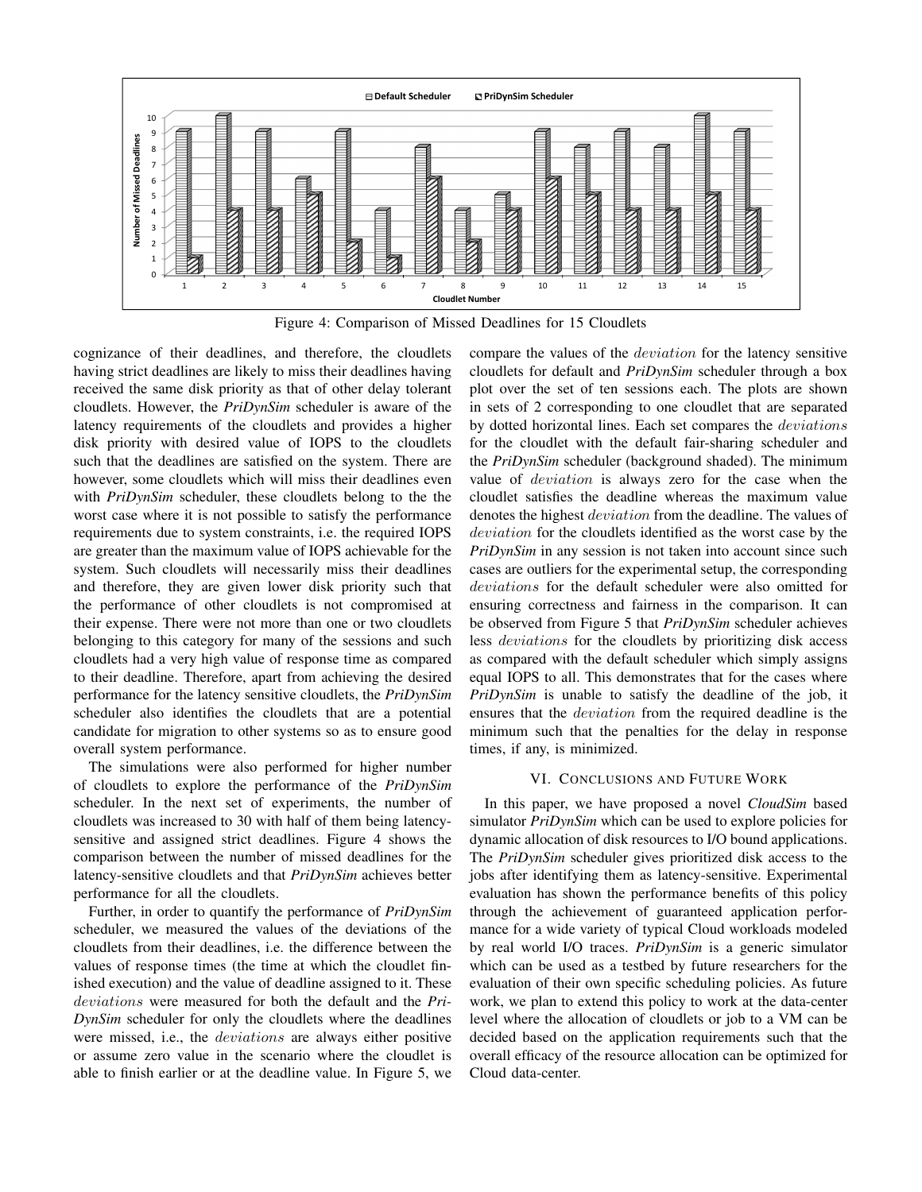

Figure 4: Comparison of Missed Deadlines for 15 Cloudlets

cognizance of their deadlines, and therefore, the cloudlets having strict deadlines are likely to miss their deadlines having received the same disk priority as that of other delay tolerant cloudlets. However, the *PriDynSim* scheduler is aware of the latency requirements of the cloudlets and provides a higher disk priority with desired value of IOPS to the cloudlets such that the deadlines are satisfied on the system. There are however, some cloudlets which will miss their deadlines even with *PriDynSim* scheduler, these cloudlets belong to the the worst case where it is not possible to satisfy the performance requirements due to system constraints, i.e. the required IOPS are greater than the maximum value of IOPS achievable for the system. Such cloudlets will necessarily miss their deadlines and therefore, they are given lower disk priority such that the performance of other cloudlets is not compromised at their expense. There were not more than one or two cloudlets belonging to this category for many of the sessions and such cloudlets had a very high value of response time as compared to their deadline. Therefore, apart from achieving the desired performance for the latency sensitive cloudlets, the *PriDynSim* scheduler also identifies the cloudlets that are a potential candidate for migration to other systems so as to ensure good overall system performance.

The simulations were also performed for higher number of cloudlets to explore the performance of the *PriDynSim* scheduler. In the next set of experiments, the number of cloudlets was increased to 30 with half of them being latencysensitive and assigned strict deadlines. Figure 4 shows the comparison between the number of missed deadlines for the latency-sensitive cloudlets and that *PriDynSim* achieves better performance for all the cloudlets.

Further, in order to quantify the performance of *PriDynSim* scheduler, we measured the values of the deviations of the cloudlets from their deadlines, i.e. the difference between the values of response times (the time at which the cloudlet finished execution) and the value of deadline assigned to it. These deviations were measured for both the default and the *Pri-DynSim* scheduler for only the cloudlets where the deadlines were missed, i.e., the *deviations* are always either positive or assume zero value in the scenario where the cloudlet is able to finish earlier or at the deadline value. In Figure 5, we

compare the values of the deviation for the latency sensitive cloudlets for default and *PriDynSim* scheduler through a box plot over the set of ten sessions each. The plots are shown in sets of 2 corresponding to one cloudlet that are separated by dotted horizontal lines. Each set compares the deviations for the cloudlet with the default fair-sharing scheduler and the *PriDynSim* scheduler (background shaded). The minimum value of deviation is always zero for the case when the cloudlet satisfies the deadline whereas the maximum value denotes the highest deviation from the deadline. The values of deviation for the cloudlets identified as the worst case by the *PriDynSim* in any session is not taken into account since such cases are outliers for the experimental setup, the corresponding deviations for the default scheduler were also omitted for ensuring correctness and fairness in the comparison. It can be observed from Figure 5 that *PriDynSim* scheduler achieves less deviations for the cloudlets by prioritizing disk access as compared with the default scheduler which simply assigns equal IOPS to all. This demonstrates that for the cases where *PriDynSim* is unable to satisfy the deadline of the job, it ensures that the deviation from the required deadline is the minimum such that the penalties for the delay in response times, if any, is minimized.

# VI. CONCLUSIONS AND FUTURE WORK

In this paper, we have proposed a novel *CloudSim* based simulator *PriDynSim* which can be used to explore policies for dynamic allocation of disk resources to I/O bound applications. The *PriDynSim* scheduler gives prioritized disk access to the jobs after identifying them as latency-sensitive. Experimental evaluation has shown the performance benefits of this policy through the achievement of guaranteed application performance for a wide variety of typical Cloud workloads modeled by real world I/O traces. *PriDynSim* is a generic simulator which can be used as a testbed by future researchers for the evaluation of their own specific scheduling policies. As future work, we plan to extend this policy to work at the data-center level where the allocation of cloudlets or job to a VM can be decided based on the application requirements such that the overall efficacy of the resource allocation can be optimized for Cloud data-center.